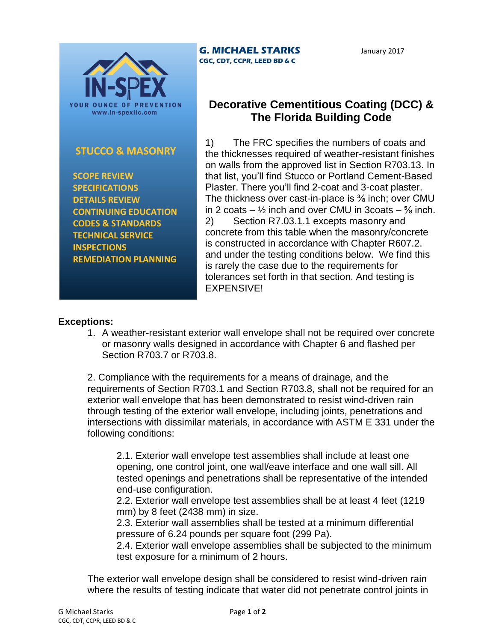

## **STUCCO & MASONRY**

 **SCOPE REVIEW SPECIFICATIONS DETAILS REVIEW CONTINUING EDUCATION CODES & STANDARDS TECHNICAL SERVICE INSPECTIONS REMEDIATION PLANNING**

**G. MICHAEL STARKS CGC, CDT, CCPR, LEED BD & C**

January 2017

## **Decorative Cementitious Coating (DCC) & The Florida Building Code**

1) The FRC specifies the numbers of coats and the thicknesses required of weather-resistant finishes on walls from the approved list in Section R703.13. In that list, you'll find Stucco or Portland Cement-Based Plaster. There you'll find 2-coat and 3-coat plaster. The thickness over cast-in-place is <sup>3</sup>% inch; over CMU in 2 coats –  $\frac{1}{2}$  inch and over CMU in 3 coats –  $\frac{5}{8}$  inch. 2) Section R7.03.1.1 excepts masonry and concrete from this table when the masonry/concrete is constructed in accordance with Chapter R607.2. and under the testing conditions below. We find this is rarely the case due to the requirements for tolerances set forth in that section. And testing is EXPENSIVE!

## **Exceptions:**

1. A weather-resistant exterior wall envelope shall not be required over concrete or masonry walls designed in accordance with Chapter 6 and flashed per Section R703.7 or R703.8.

2. Compliance with the requirements for a means of drainage, and the requirements of Section R703.1 and Section R703.8, shall not be required for an exterior wall envelope that has been demonstrated to resist wind-driven rain through testing of the exterior wall envelope, including joints, penetrations and intersections with dissimilar materials, in accordance with ASTM E 331 under the following conditions:

2.1. Exterior wall envelope test assemblies shall include at least one opening, one control joint, one wall/eave interface and one wall sill. All tested openings and penetrations shall be representative of the intended end-use configuration.

2.2. Exterior wall envelope test assemblies shall be at least 4 feet (1219 mm) by 8 feet (2438 mm) in size.

2.3. Exterior wall assemblies shall be tested at a minimum differential pressure of 6.24 pounds per square foot (299 Pa).

2.4. Exterior wall envelope assemblies shall be subjected to the minimum test exposure for a minimum of 2 hours.

The exterior wall envelope design shall be considered to resist wind-driven rain where the results of testing indicate that water did not penetrate control joints in